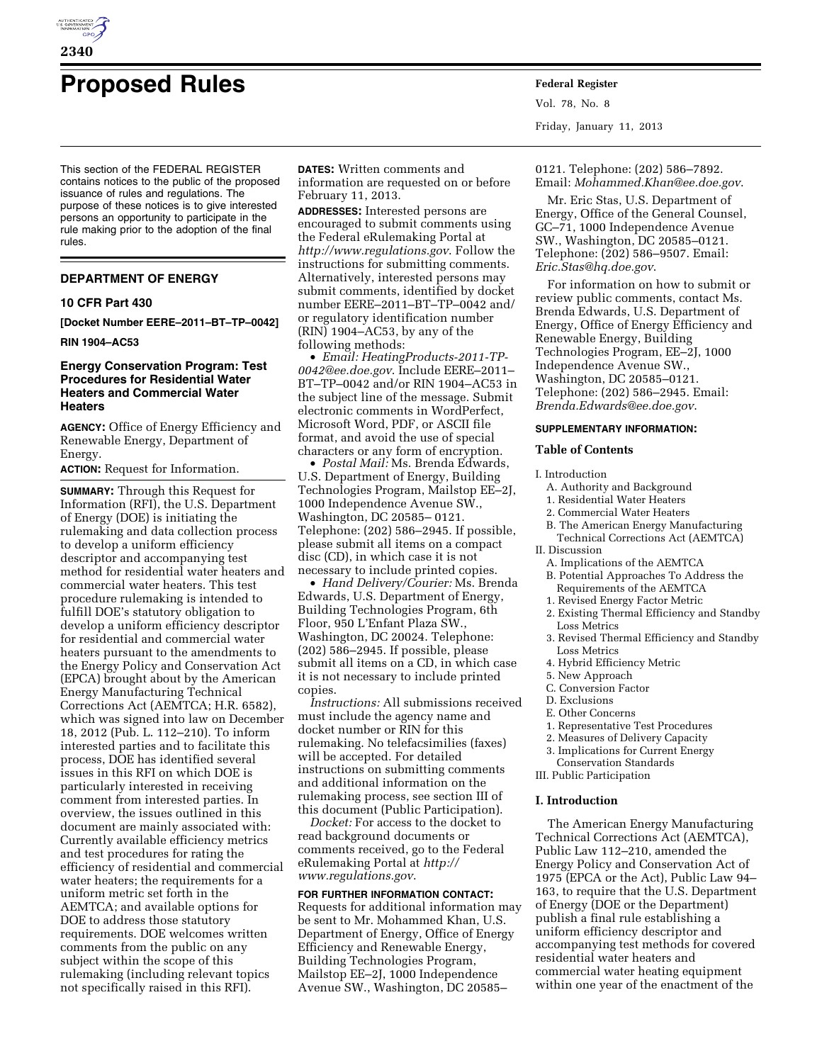

# **Proposed Rules Federal Register**

This section of the FEDERAL REGISTER contains notices to the public of the proposed issuance of rules and regulations. The purpose of these notices is to give interested persons an opportunity to participate in the rule making prior to the adoption of the final rules.

## **DEPARTMENT OF ENERGY**

## **10 CFR Part 430**

**[Docket Number EERE–2011–BT–TP–0042]** 

#### **RIN 1904–AC53**

## **Energy Conservation Program: Test Procedures for Residential Water Heaters and Commercial Water Heaters**

**AGENCY:** Office of Energy Efficiency and Renewable Energy, Department of Energy.

#### **ACTION:** Request for Information.

**SUMMARY:** Through this Request for Information (RFI), the U.S. Department of Energy (DOE) is initiating the rulemaking and data collection process to develop a uniform efficiency descriptor and accompanying test method for residential water heaters and commercial water heaters. This test procedure rulemaking is intended to fulfill DOE's statutory obligation to develop a uniform efficiency descriptor for residential and commercial water heaters pursuant to the amendments to the Energy Policy and Conservation Act (EPCA) brought about by the American Energy Manufacturing Technical Corrections Act (AEMTCA; H.R. 6582), which was signed into law on December 18, 2012 (Pub. L. 112–210). To inform interested parties and to facilitate this process, DOE has identified several issues in this RFI on which DOE is particularly interested in receiving comment from interested parties. In overview, the issues outlined in this document are mainly associated with: Currently available efficiency metrics and test procedures for rating the efficiency of residential and commercial water heaters; the requirements for a uniform metric set forth in the AEMTCA; and available options for DOE to address those statutory requirements. DOE welcomes written comments from the public on any subject within the scope of this rulemaking (including relevant topics not specifically raised in this RFI).

**DATES:** Written comments and information are requested on or before February 11, 2013.

**ADDRESSES:** Interested persons are encouraged to submit comments using the Federal eRulemaking Portal at *<http://www.regulations.gov>*. Follow the instructions for submitting comments. Alternatively, interested persons may submit comments, identified by docket number EERE–2011–BT–TP–0042 and/ or regulatory identification number (RIN) 1904–AC53, by any of the following methods:

• *Email: [HeatingProducts-2011-TP-](mailto:HeatingProducts-2011-TP-0042@ee.doe.gov)[0042@ee.doe.gov](mailto:HeatingProducts-2011-TP-0042@ee.doe.gov)*. Include EERE–2011– BT–TP–0042 and/or RIN 1904–AC53 in the subject line of the message. Submit electronic comments in WordPerfect, Microsoft Word, PDF, or ASCII file format, and avoid the use of special characters or any form of encryption.

• *Postal Mail:* Ms. Brenda Edwards, U.S. Department of Energy, Building Technologies Program, Mailstop EE–2J, 1000 Independence Avenue SW., Washington, DC 20585– 0121. Telephone: (202) 586–2945. If possible, please submit all items on a compact disc (CD), in which case it is not necessary to include printed copies.

• *Hand Delivery/Courier:* Ms. Brenda Edwards, U.S. Department of Energy, Building Technologies Program, 6th Floor, 950 L'Enfant Plaza SW., Washington, DC 20024. Telephone: (202) 586–2945. If possible, please submit all items on a CD, in which case it is not necessary to include printed copies.

*Instructions:* All submissions received must include the agency name and docket number or RIN for this rulemaking. No telefacsimilies (faxes) will be accepted. For detailed instructions on submitting comments and additional information on the rulemaking process, see section III of this document (Public Participation).

*Docket:* For access to the docket to read background documents or comments received, go to the Federal eRulemaking Portal at *[http://](http://www.regulations.gov)  [www.regulations.gov](http://www.regulations.gov)*.

## **FOR FURTHER INFORMATION CONTACT:**  Requests for additional information may be sent to Mr. Mohammed Khan, U.S. Department of Energy, Office of Energy Efficiency and Renewable Energy, Building Technologies Program, Mailstop EE–2J, 1000 Independence Avenue SW., Washington, DC 20585–

Vol. 78, No. 8 Friday, January 11, 2013

0121. Telephone: (202) 586–7892. Email: *[Mohammed.Khan@ee.doe.gov](mailto:Mohammed.Khan@ee.doe.gov)*.

Mr. Eric Stas, U.S. Department of Energy, Office of the General Counsel, GC–71, 1000 Independence Avenue SW., Washington, DC 20585–0121. Telephone: (202) 586–9507. Email: *[Eric.Stas@hq.doe.gov](mailto:Eric.Stas@hq.doe.gov)*.

For information on how to submit or review public comments, contact Ms. Brenda Edwards, U.S. Department of Energy, Office of Energy Efficiency and Renewable Energy, Building Technologies Program, EE–2J, 1000 Independence Avenue SW., Washington, DC 20585–0121. Telephone: (202) 586–2945. Email: *[Brenda.Edwards@ee.doe.gov](mailto:Brenda.Edwards@ee.doe.gov)*.

#### **SUPPLEMENTARY INFORMATION:**

## **Table of Contents**

I. Introduction

- A. Authority and Background
- 1. Residential Water Heaters
- 2. Commercial Water Heaters
- B. The American Energy Manufacturing Technical Corrections Act (AEMTCA)
- II. Discussion
	- A. Implications of the AEMTCA
	- B. Potential Approaches To Address the Requirements of the AEMTCA
	- 1. Revised Energy Factor Metric
	- 2. Existing Thermal Efficiency and Standby Loss Metrics
	- 3. Revised Thermal Efficiency and Standby Loss Metrics
	- 4. Hybrid Efficiency Metric
- 5. New Approach
- C. Conversion Factor
- D. Exclusions
- E. Other Concerns
- 1. Representative Test Procedures
- 2. Measures of Delivery Capacity
- 3. Implications for Current Energy Conservation Standards
- III. Public Participation

#### **I. Introduction**

The American Energy Manufacturing Technical Corrections Act (AEMTCA), Public Law 112–210, amended the Energy Policy and Conservation Act of 1975 (EPCA or the Act), Public Law 94– 163, to require that the U.S. Department of Energy (DOE or the Department) publish a final rule establishing a uniform efficiency descriptor and accompanying test methods for covered residential water heaters and commercial water heating equipment within one year of the enactment of the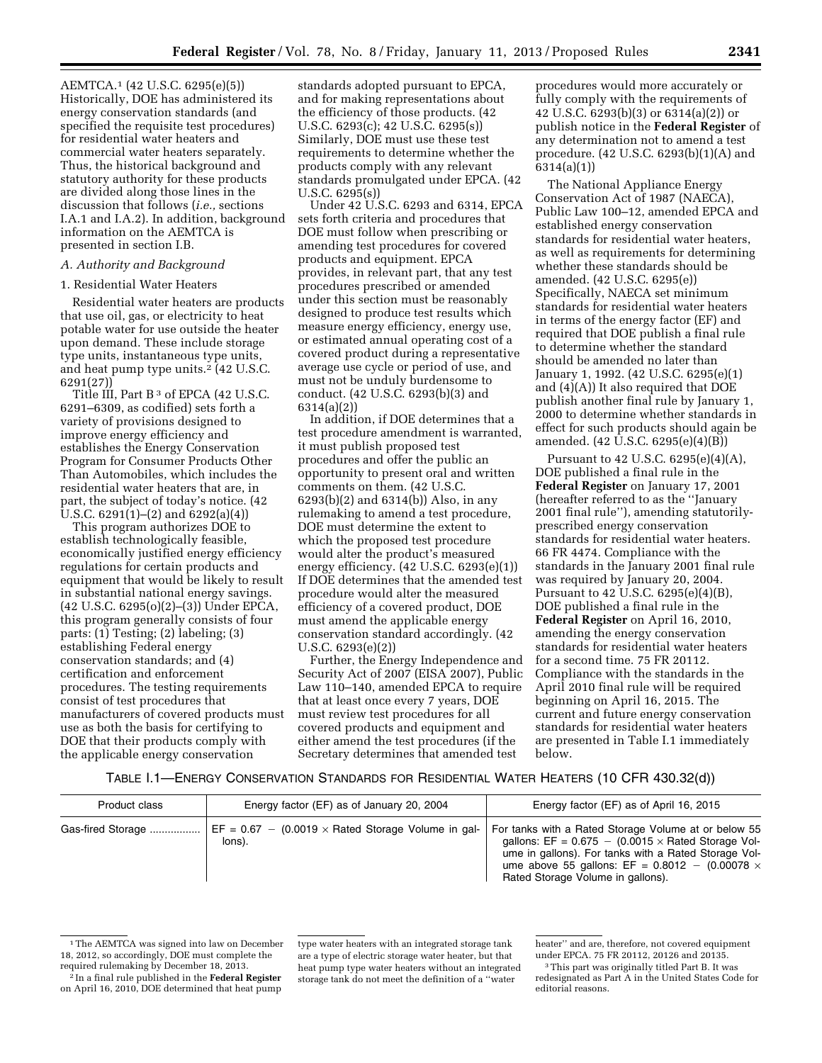AEMTCA.1 (42 U.S.C. 6295(e)(5)) Historically, DOE has administered its energy conservation standards (and specified the requisite test procedures) for residential water heaters and commercial water heaters separately. Thus, the historical background and statutory authority for these products are divided along those lines in the discussion that follows (*i.e.,* sections I.A.1 and I.A.2). In addition, background information on the AEMTCA is presented in section I.B.

## *A. Authority and Background*

1. Residential Water Heaters

Residential water heaters are products that use oil, gas, or electricity to heat potable water for use outside the heater upon demand. These include storage type units, instantaneous type units, and heat pump type units.<sup>2</sup> (42 U.S.C. 6291(27))

Title III, Part B<sup>3</sup> of EPCA (42 U.S.C. 6291–6309, as codified) sets forth a variety of provisions designed to improve energy efficiency and establishes the Energy Conservation Program for Consumer Products Other Than Automobiles, which includes the residential water heaters that are, in part, the subject of today's notice. (42 U.S.C. 6291(1)–(2) and 6292(a)(4))

This program authorizes DOE to establish technologically feasible, economically justified energy efficiency regulations for certain products and equipment that would be likely to result in substantial national energy savings. (42 U.S.C. 6295(o)(2)–(3)) Under EPCA, this program generally consists of four parts: (1) Testing; (2) labeling; (3) establishing Federal energy conservation standards; and (4) certification and enforcement procedures. The testing requirements consist of test procedures that manufacturers of covered products must use as both the basis for certifying to DOE that their products comply with the applicable energy conservation

standards adopted pursuant to EPCA, and for making representations about the efficiency of those products. (42 U.S.C. 6293(c); 42 U.S.C. 6295(s)) Similarly, DOE must use these test requirements to determine whether the products comply with any relevant standards promulgated under EPCA. (42 U.S.C. 6295(s))

Under 42 U.S.C. 6293 and 6314, EPCA sets forth criteria and procedures that DOE must follow when prescribing or amending test procedures for covered products and equipment. EPCA provides, in relevant part, that any test procedures prescribed or amended under this section must be reasonably designed to produce test results which measure energy efficiency, energy use, or estimated annual operating cost of a covered product during a representative average use cycle or period of use, and must not be unduly burdensome to conduct. (42 U.S.C. 6293(b)(3) and 6314(a)(2))

In addition, if DOE determines that a test procedure amendment is warranted, it must publish proposed test procedures and offer the public an opportunity to present oral and written comments on them. (42 U.S.C. 6293(b)(2) and 6314(b)) Also, in any rulemaking to amend a test procedure, DOE must determine the extent to which the proposed test procedure would alter the product's measured energy efficiency. (42 U.S.C. 6293(e)(1)) If DOE determines that the amended test procedure would alter the measured efficiency of a covered product, DOE must amend the applicable energy conservation standard accordingly. (42 U.S.C. 6293(e)(2))

Further, the Energy Independence and Security Act of 2007 (EISA 2007), Public Law 110–140, amended EPCA to require that at least once every 7 years, DOE must review test procedures for all covered products and equipment and either amend the test procedures (if the Secretary determines that amended test

procedures would more accurately or fully comply with the requirements of 42 U.S.C. 6293(b)(3) or 6314(a)(2)) or publish notice in the **Federal Register** of any determination not to amend a test procedure. (42 U.S.C. 6293(b)(1)(A) and 6314(a)(1))

The National Appliance Energy Conservation Act of 1987 (NAECA), Public Law 100–12, amended EPCA and established energy conservation standards for residential water heaters, as well as requirements for determining whether these standards should be amended. (42 U.S.C. 6295(e)) Specifically, NAECA set minimum standards for residential water heaters in terms of the energy factor (EF) and required that DOE publish a final rule to determine whether the standard should be amended no later than January 1, 1992. (42 U.S.C. 6295(e)(1) and (4)(A)) It also required that DOE publish another final rule by January 1, 2000 to determine whether standards in effect for such products should again be amended. (42 U.S.C. 6295(e)(4)(B))

Pursuant to 42 U.S.C. 6295(e)(4)(A), DOE published a final rule in the **Federal Register** on January 17, 2001 (hereafter referred to as the ''January 2001 final rule''), amending statutorilyprescribed energy conservation standards for residential water heaters. 66 FR 4474. Compliance with the standards in the January 2001 final rule was required by January 20, 2004. Pursuant to 42 U.S.C. 6295(e)(4)(B), DOE published a final rule in the **Federal Register** on April 16, 2010, amending the energy conservation standards for residential water heaters for a second time. 75 FR 20112. Compliance with the standards in the April 2010 final rule will be required beginning on April 16, 2015. The current and future energy conservation standards for residential water heaters are presented in Table I.1 immediately below.

TABLE I.1—ENERGY CONSERVATION STANDARDS FOR RESIDENTIAL WATER HEATERS (10 CFR 430.32(d))

| Product class     | Energy factor (EF) as of January 20, 2004                                | Energy factor (EF) as of April 16, 2015                                                                                                                                                                                                                                         |
|-------------------|--------------------------------------------------------------------------|---------------------------------------------------------------------------------------------------------------------------------------------------------------------------------------------------------------------------------------------------------------------------------|
| Gas-fired Storage | $E = 0.67 - (0.0019 \times \text{Rated Storage Volume in gal}$<br>lons). | For tanks with a Rated Storage Volume at or below 55<br>gallons: $EF = 0.675 - (0.0015 \times \text{Rated Storage Vol-})$<br>ume in gallons). For tanks with a Rated Storage Vol-<br>ume above 55 gallons: EF = $0.8012 - (0.00078 \times$<br>Rated Storage Volume in gallons). |

<sup>&</sup>lt;sup>1</sup>The AEMTCA was signed into law on December 18, 2012, so accordingly, DOE must complete the required rulemaking by December 18, 2013.

2 In a final rule published in the **Federal Register**  on April 16, 2010, DOE determined that heat pump type water heaters with an integrated storage tank are a type of electric storage water heater, but that heat pump type water heaters without an integrated storage tank do not meet the definition of a ''water

heater'' and are, therefore, not covered equipment under EPCA. 75 FR 20112, 20126 and 20135.

<sup>3</sup>This part was originally titled Part B. It was redesignated as Part A in the United States Code for editorial reasons.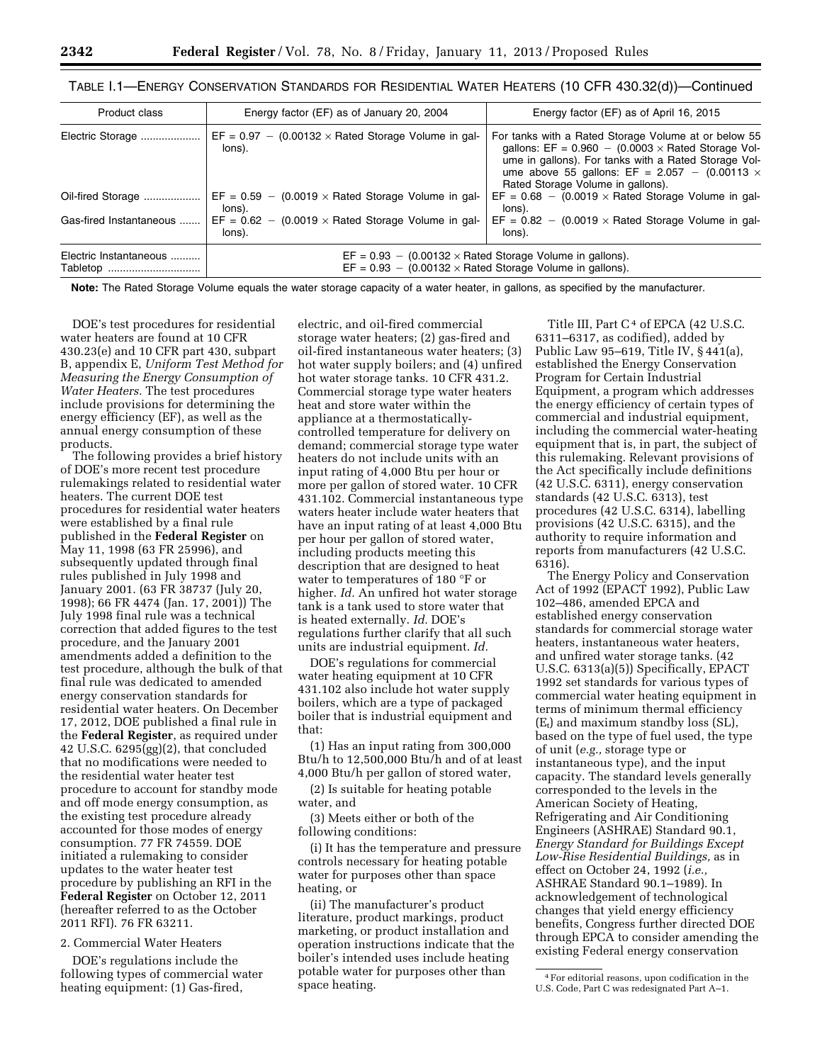| Product class                      | Energy factor (EF) as of January 20, 2004                                                                                                        | Energy factor (EF) as of April 16, 2015                                                                                                                                                                                                                                        |  |
|------------------------------------|--------------------------------------------------------------------------------------------------------------------------------------------------|--------------------------------------------------------------------------------------------------------------------------------------------------------------------------------------------------------------------------------------------------------------------------------|--|
| Electric Storage                   | $EF = 0.97 - (0.00132 \times \text{Rated Storage Volume in gal}$<br>lons).                                                                       | For tanks with a Rated Storage Volume at or below 55<br>gallons: $EF = 0.960 - (0.0003 \times \text{Rated Storage Vol-})$<br>ume in gallons). For tanks with a Rated Storage Vol-<br>ume above 55 gallons: EF = $2.057 - (0.00113 \times$<br>Rated Storage Volume in gallons). |  |
| Oil-fired Storage                  | $EF = 0.59 - (0.0019 \times \text{Rated Storage Volume in gal}$<br>lons).                                                                        | $EF = 0.68 - (0.0019 \times \text{Rated Storage Volume in gal-})$<br>lons).                                                                                                                                                                                                    |  |
| Gas-fired Instantaneous            | $EF = 0.62 - (0.0019 \times \text{Rated Storage Volume in gal-})$<br>lons).                                                                      | $EF = 0.82 - (0.0019 \times \text{Rated Storage Volume in gal-})$<br>lons).                                                                                                                                                                                                    |  |
| Electric Instantaneous<br>Tabletop | $EF = 0.93 - (0.00132 \times \text{Rated Storage Volume in gallons}).$<br>$EF = 0.93 - (0.00132 \times \text{Rated Storage Volume in gallons}).$ |                                                                                                                                                                                                                                                                                |  |

| TABLE I.1—ENERGY CONSERVATION STANDARDS FOR RESIDENTIAL WATER HEATERS (10 CFR 430.32(d))—Continued |  |  |  |  |
|----------------------------------------------------------------------------------------------------|--|--|--|--|
|----------------------------------------------------------------------------------------------------|--|--|--|--|

**Note:** The Rated Storage Volume equals the water storage capacity of a water heater, in gallons, as specified by the manufacturer.

DOE's test procedures for residential water heaters are found at 10 CFR 430.23(e) and 10 CFR part 430, subpart B, appendix E, *Uniform Test Method for Measuring the Energy Consumption of Water Heaters.* The test procedures include provisions for determining the energy efficiency (EF), as well as the annual energy consumption of these products.

The following provides a brief history of DOE's more recent test procedure rulemakings related to residential water heaters. The current DOE test procedures for residential water heaters were established by a final rule published in the **Federal Register** on May 11, 1998 (63 FR 25996), and subsequently updated through final rules published in July 1998 and January 2001. (63 FR 38737 (July 20, 1998); 66 FR 4474 (Jan. 17, 2001)) The July 1998 final rule was a technical correction that added figures to the test procedure, and the January 2001 amendments added a definition to the test procedure, although the bulk of that final rule was dedicated to amended energy conservation standards for residential water heaters. On December 17, 2012, DOE published a final rule in the **Federal Register**, as required under 42 U.S.C. 6295(gg)(2), that concluded that no modifications were needed to the residential water heater test procedure to account for standby mode and off mode energy consumption, as the existing test procedure already accounted for those modes of energy consumption. 77 FR 74559. DOE initiated a rulemaking to consider updates to the water heater test procedure by publishing an RFI in the **Federal Register** on October 12, 2011 (hereafter referred to as the October 2011 RFI). 76 FR 63211.

2. Commercial Water Heaters

DOE's regulations include the following types of commercial water heating equipment: (1) Gas-fired,

electric, and oil-fired commercial storage water heaters; (2) gas-fired and oil-fired instantaneous water heaters; (3) hot water supply boilers; and (4) unfired hot water storage tanks. 10 CFR 431.2. Commercial storage type water heaters heat and store water within the appliance at a thermostaticallycontrolled temperature for delivery on demand; commercial storage type water heaters do not include units with an input rating of 4,000 Btu per hour or more per gallon of stored water. 10 CFR 431.102. Commercial instantaneous type waters heater include water heaters that have an input rating of at least 4,000 Btu per hour per gallon of stored water, including products meeting this description that are designed to heat water to temperatures of 180 °F or higher. *Id.* An unfired hot water storage tank is a tank used to store water that is heated externally. *Id.* DOE's regulations further clarify that all such units are industrial equipment. *Id.* 

DOE's regulations for commercial water heating equipment at 10 CFR 431.102 also include hot water supply boilers, which are a type of packaged boiler that is industrial equipment and that:

(1) Has an input rating from 300,000 Btu/h to 12,500,000 Btu/h and of at least 4,000 Btu/h per gallon of stored water,

(2) Is suitable for heating potable water, and

(3) Meets either or both of the following conditions:

(i) It has the temperature and pressure controls necessary for heating potable water for purposes other than space heating, or

(ii) The manufacturer's product literature, product markings, product marketing, or product installation and operation instructions indicate that the boiler's intended uses include heating potable water for purposes other than space heating.

Title III, Part C<sup>4</sup> of EPCA (42 U.S.C. 6311–6317, as codified), added by Public Law 95–619, Title IV, § 441(a), established the Energy Conservation Program for Certain Industrial Equipment, a program which addresses the energy efficiency of certain types of commercial and industrial equipment, including the commercial water-heating equipment that is, in part, the subject of this rulemaking. Relevant provisions of the Act specifically include definitions (42 U.S.C. 6311), energy conservation standards (42 U.S.C. 6313), test procedures (42 U.S.C. 6314), labelling provisions (42 U.S.C. 6315), and the authority to require information and reports from manufacturers (42 U.S.C. 6316).

The Energy Policy and Conservation Act of 1992 (EPACT 1992), Public Law 102–486, amended EPCA and established energy conservation standards for commercial storage water heaters, instantaneous water heaters, and unfired water storage tanks. (42 U.S.C. 6313(a)(5)) Specifically, EPACT 1992 set standards for various types of commercial water heating equipment in terms of minimum thermal efficiency  $(E_t)$  and maximum standby loss (SL), based on the type of fuel used, the type of unit (*e.g.,* storage type or instantaneous type), and the input capacity. The standard levels generally corresponded to the levels in the American Society of Heating, Refrigerating and Air Conditioning Engineers (ASHRAE) Standard 90.1, *Energy Standard for Buildings Except Low-Rise Residential Buildings,* as in effect on October 24, 1992 (*i.e.,*  ASHRAE Standard 90.1–1989). In acknowledgement of technological changes that yield energy efficiency benefits, Congress further directed DOE through EPCA to consider amending the existing Federal energy conservation

<sup>4</sup>For editorial reasons, upon codification in the U.S. Code, Part C was redesignated Part A–1.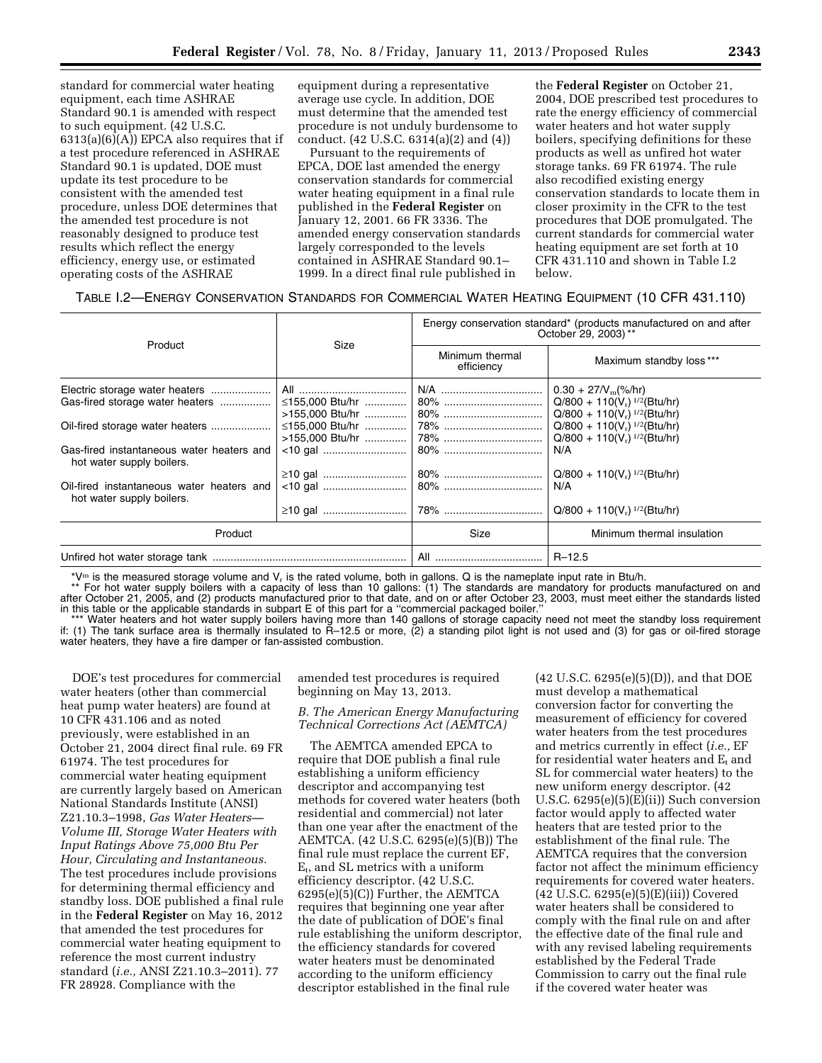standard for commercial water heating equipment, each time ASHRAE Standard 90.1 is amended with respect to such equipment. (42 U.S.C.  $6313(a)(6)(A)$  EPCA also requires that if a test procedure referenced in ASHRAE Standard 90.1 is updated, DOE must update its test procedure to be consistent with the amended test procedure, unless DOE determines that the amended test procedure is not reasonably designed to produce test results which reflect the energy efficiency, energy use, or estimated operating costs of the ASHRAE

equipment during a representative average use cycle. In addition, DOE must determine that the amended test procedure is not unduly burdensome to conduct. (42 U.S.C. 6314(a)(2) and (4))

Pursuant to the requirements of EPCA, DOE last amended the energy conservation standards for commercial water heating equipment in a final rule published in the **Federal Register** on January 12, 2001. 66 FR 3336. The amended energy conservation standards largely corresponded to the levels contained in ASHRAE Standard 90.1– 1999. In a direct final rule published in

the **Federal Register** on October 21, 2004, DOE prescribed test procedures to rate the energy efficiency of commercial water heaters and hot water supply boilers, specifying definitions for these products as well as unfired hot water storage tanks. 69 FR 61974. The rule also recodified existing energy conservation standards to locate them in closer proximity in the CFR to the test procedures that DOE promulgated. The current standards for commercial water heating equipment are set forth at 10 CFR 431.110 and shown in Table I.2 below.

| TABLE I.2—ENERGY CONSERVATION STANDARDS FOR COMMERCIAL WATER HEATING EQUIPMENT (10 CFR 431.110) |  |  |
|-------------------------------------------------------------------------------------------------|--|--|
|-------------------------------------------------------------------------------------------------|--|--|

| Product                                                                | Size            | Energy conservation standard* (products manufactured on and after<br>October 29, 2003) ** |                                            |  |
|------------------------------------------------------------------------|-----------------|-------------------------------------------------------------------------------------------|--------------------------------------------|--|
|                                                                        |                 | Minimum thermal<br>efficiency                                                             | Maximum standby loss***                    |  |
| Electric storage water heaters                                         |                 |                                                                                           | $0.30 + 27/V_{\rm m}$ (%/hr)               |  |
| Gas-fired storage water heaters                                        | ≤155,000 Btu/hr | 80%                                                                                       | $Q/800 + 110(V_r)^{1/2}(Btu/hr)$           |  |
|                                                                        | >155,000 Btu/hr | 80%                                                                                       | $Q/800 + 110(V_r)$ <sup>1/2</sup> (Btu/hr) |  |
|                                                                        | ≤155,000 Btu/hr | $ 78\%$                                                                                   | $Q/800 + 110(V_r)$ <sup>1/2</sup> (Btu/hr) |  |
|                                                                        |                 |                                                                                           | $Q/800 + 110(V_r)^{1/2}(Btu/hr)$           |  |
| Gas-fired instantaneous water heaters and<br>hot water supply boilers. |                 |                                                                                           | N/A                                        |  |
|                                                                        |                 | 80%                                                                                       | $Q/800 + 110(V_r)^{1/2}(Btu/hr)$           |  |
| Oil-fired instantaneous water heaters and<br>hot water supply boilers. |                 |                                                                                           | N/A                                        |  |
|                                                                        |                 |                                                                                           | $Q/800 + 110(V_r)^{1/2}(Btu/hr)$           |  |
| Product                                                                |                 | Size                                                                                      | Minimum thermal insulation                 |  |
|                                                                        |                 |                                                                                           | $R - 12.5$                                 |  |

\*V<sup>m</sup> is the measured storage volume and V<sub>r</sub> is the rated volume, both in gallons. Q is the nameplate input rate in Btu/h.<br>\*\* For hot water supply boilers with a capacity of less than 10 gallons: (1) The standards are man after October 21, 2005, and (2) products manufactured prior to that date, and on or after October 23, 2003, must meet either the standards listed in this table or the applicable standards in subpart E of this part for a ''commercial packaged boiler.''

\*\*\* Water heaters and hot water supply boilers having more than 140 gallons of storage capacity need not meet the standby loss requirement if: (1) The tank surface area is thermally insulated to R–12.5 or more, (2) a standing pilot light is not used and (3) for gas or oil-fired storage water heaters, they have a fire damper or fan-assisted combustion.

DOE's test procedures for commercial water heaters (other than commercial heat pump water heaters) are found at 10 CFR 431.106 and as noted previously, were established in an October 21, 2004 direct final rule. 69 FR 61974. The test procedures for commercial water heating equipment are currently largely based on American National Standards Institute (ANSI) Z21.10.3–1998, *Gas Water Heaters— Volume III, Storage Water Heaters with Input Ratings Above 75,000 Btu Per Hour, Circulating and Instantaneous.*  The test procedures include provisions for determining thermal efficiency and standby loss. DOE published a final rule in the **Federal Register** on May 16, 2012 that amended the test procedures for commercial water heating equipment to reference the most current industry standard (*i.e.,* ANSI Z21.10.3–2011). 77 FR 28928. Compliance with the

amended test procedures is required beginning on May 13, 2013.

## *B. The American Energy Manufacturing Technical Corrections Act (AEMTCA)*

The AEMTCA amended EPCA to require that DOE publish a final rule establishing a uniform efficiency descriptor and accompanying test methods for covered water heaters (both residential and commercial) not later than one year after the enactment of the AEMTCA. (42 U.S.C. 6295(e)(5)(B)) The final rule must replace the current EF, Et, and SL metrics with a uniform efficiency descriptor. (42 U.S.C. 6295(e)(5)(C)) Further, the AEMTCA requires that beginning one year after the date of publication of DOE's final rule establishing the uniform descriptor, the efficiency standards for covered water heaters must be denominated according to the uniform efficiency descriptor established in the final rule

(42 U.S.C. 6295(e)(5)(D)), and that DOE must develop a mathematical conversion factor for converting the measurement of efficiency for covered water heaters from the test procedures and metrics currently in effect (*i.e.,* EF for residential water heaters and  $E_t$  and SL for commercial water heaters) to the new uniform energy descriptor. (42 U.S.C. 6295(e)(5)(E)(ii)) Such conversion factor would apply to affected water heaters that are tested prior to the establishment of the final rule. The AEMTCA requires that the conversion factor not affect the minimum efficiency requirements for covered water heaters. (42 U.S.C. 6295(e)(5)(E)(iii)) Covered water heaters shall be considered to comply with the final rule on and after the effective date of the final rule and with any revised labeling requirements established by the Federal Trade Commission to carry out the final rule if the covered water heater was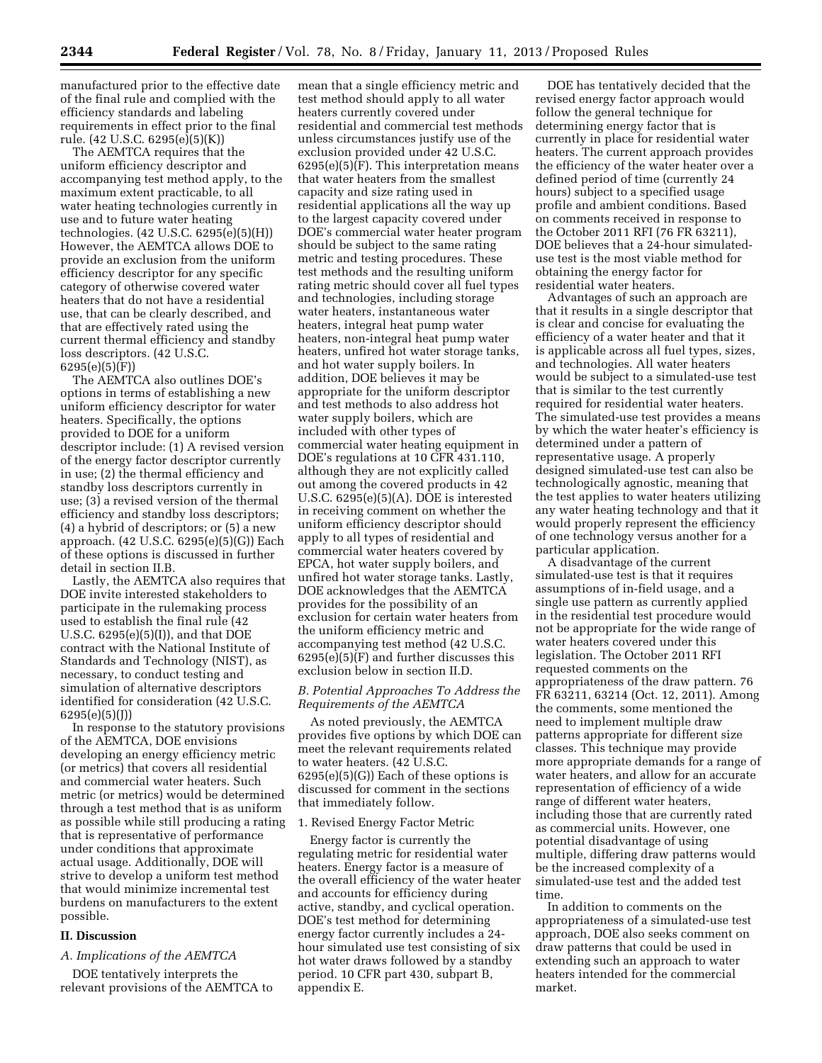manufactured prior to the effective date of the final rule and complied with the efficiency standards and labeling requirements in effect prior to the final rule. (42 U.S.C. 6295(e)(5)(K))

The AEMTCA requires that the uniform efficiency descriptor and accompanying test method apply, to the maximum extent practicable, to all water heating technologies currently in use and to future water heating technologies. (42 U.S.C. 6295(e)(5)(H)) However, the AEMTCA allows DOE to provide an exclusion from the uniform efficiency descriptor for any specific category of otherwise covered water heaters that do not have a residential use, that can be clearly described, and that are effectively rated using the current thermal efficiency and standby loss descriptors. (42 U.S.C. 6295(e)(5)(F))

The AEMTCA also outlines DOE's options in terms of establishing a new uniform efficiency descriptor for water heaters. Specifically, the options provided to DOE for a uniform descriptor include: (1) A revised version of the energy factor descriptor currently in use; (2) the thermal efficiency and standby loss descriptors currently in use; (3) a revised version of the thermal efficiency and standby loss descriptors; (4) a hybrid of descriptors; or (5) a new approach. (42 U.S.C. 6295(e)(5)(G)) Each of these options is discussed in further detail in section II.B.

Lastly, the AEMTCA also requires that DOE invite interested stakeholders to participate in the rulemaking process used to establish the final rule (42 U.S.C. 6295(e)(5)(I)), and that DOE contract with the National Institute of Standards and Technology (NIST), as necessary, to conduct testing and simulation of alternative descriptors identified for consideration (42 U.S.C. 6295(e)(5)(J))

In response to the statutory provisions of the AEMTCA, DOE envisions developing an energy efficiency metric (or metrics) that covers all residential and commercial water heaters. Such metric (or metrics) would be determined through a test method that is as uniform as possible while still producing a rating that is representative of performance under conditions that approximate actual usage. Additionally, DOE will strive to develop a uniform test method that would minimize incremental test burdens on manufacturers to the extent possible.

#### **II. Discussion**

#### *A. Implications of the AEMTCA*

DOE tentatively interprets the relevant provisions of the AEMTCA to mean that a single efficiency metric and test method should apply to all water heaters currently covered under residential and commercial test methods unless circumstances justify use of the exclusion provided under 42 U.S.C. 6295(e)(5)(F). This interpretation means that water heaters from the smallest capacity and size rating used in residential applications all the way up to the largest capacity covered under DOE's commercial water heater program should be subject to the same rating metric and testing procedures. These test methods and the resulting uniform rating metric should cover all fuel types and technologies, including storage water heaters, instantaneous water heaters, integral heat pump water heaters, non-integral heat pump water heaters, unfired hot water storage tanks, and hot water supply boilers. In addition, DOE believes it may be appropriate for the uniform descriptor and test methods to also address hot water supply boilers, which are included with other types of commercial water heating equipment in DOE's regulations at 10 CFR 431.110, although they are not explicitly called out among the covered products in 42 U.S.C. 6295(e)(5)(A). DOE is interested in receiving comment on whether the uniform efficiency descriptor should apply to all types of residential and commercial water heaters covered by EPCA, hot water supply boilers, and unfired hot water storage tanks. Lastly, DOE acknowledges that the AEMTCA provides for the possibility of an exclusion for certain water heaters from the uniform efficiency metric and accompanying test method (42 U.S.C. 6295(e)(5)(F) and further discusses this exclusion below in section II.D.

## *B. Potential Approaches To Address the Requirements of the AEMTCA*

As noted previously, the AEMTCA provides five options by which DOE can meet the relevant requirements related to water heaters. (42 U.S.C.  $6295(e)(5)(G)$  Each of these options is discussed for comment in the sections that immediately follow.

#### 1. Revised Energy Factor Metric

Energy factor is currently the regulating metric for residential water heaters. Energy factor is a measure of the overall efficiency of the water heater and accounts for efficiency during active, standby, and cyclical operation. DOE's test method for determining energy factor currently includes a 24 hour simulated use test consisting of six hot water draws followed by a standby period. 10 CFR part 430, subpart B, appendix E.

DOE has tentatively decided that the revised energy factor approach would follow the general technique for determining energy factor that is currently in place for residential water heaters. The current approach provides the efficiency of the water heater over a defined period of time (currently 24 hours) subject to a specified usage profile and ambient conditions. Based on comments received in response to the October 2011 RFI (76 FR 63211), DOE believes that a 24-hour simulateduse test is the most viable method for obtaining the energy factor for residential water heaters.

Advantages of such an approach are that it results in a single descriptor that is clear and concise for evaluating the efficiency of a water heater and that it is applicable across all fuel types, sizes, and technologies. All water heaters would be subject to a simulated-use test that is similar to the test currently required for residential water heaters. The simulated-use test provides a means by which the water heater's efficiency is determined under a pattern of representative usage. A properly designed simulated-use test can also be technologically agnostic, meaning that the test applies to water heaters utilizing any water heating technology and that it would properly represent the efficiency of one technology versus another for a particular application.

A disadvantage of the current simulated-use test is that it requires assumptions of in-field usage, and a single use pattern as currently applied in the residential test procedure would not be appropriate for the wide range of water heaters covered under this legislation. The October 2011 RFI requested comments on the appropriateness of the draw pattern. 76 FR 63211, 63214 (Oct. 12, 2011). Among the comments, some mentioned the need to implement multiple draw patterns appropriate for different size classes. This technique may provide more appropriate demands for a range of water heaters, and allow for an accurate representation of efficiency of a wide range of different water heaters, including those that are currently rated as commercial units. However, one potential disadvantage of using multiple, differing draw patterns would be the increased complexity of a simulated-use test and the added test time.

In addition to comments on the appropriateness of a simulated-use test approach, DOE also seeks comment on draw patterns that could be used in extending such an approach to water heaters intended for the commercial market.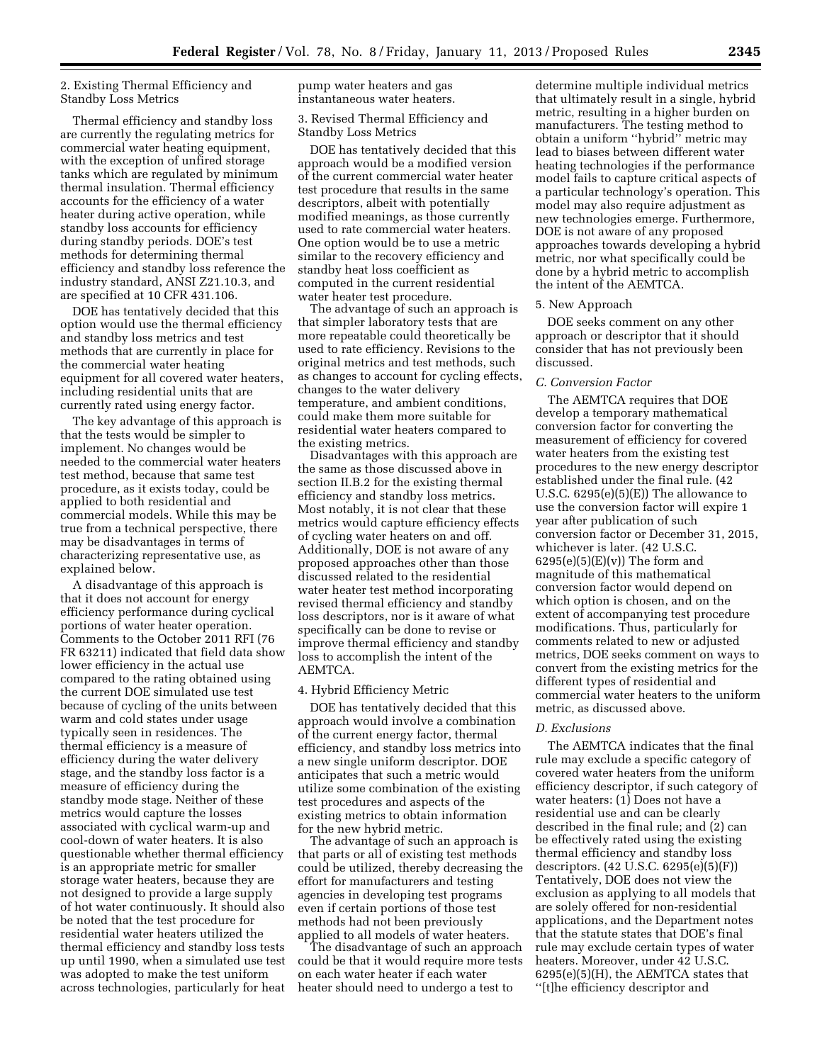## 2. Existing Thermal Efficiency and Standby Loss Metrics

Thermal efficiency and standby loss are currently the regulating metrics for commercial water heating equipment, with the exception of unfired storage tanks which are regulated by minimum thermal insulation. Thermal efficiency accounts for the efficiency of a water heater during active operation, while standby loss accounts for efficiency during standby periods. DOE's test methods for determining thermal efficiency and standby loss reference the industry standard, ANSI Z21.10.3, and are specified at 10 CFR 431.106.

DOE has tentatively decided that this option would use the thermal efficiency and standby loss metrics and test methods that are currently in place for the commercial water heating equipment for all covered water heaters, including residential units that are currently rated using energy factor.

The key advantage of this approach is that the tests would be simpler to implement. No changes would be needed to the commercial water heaters test method, because that same test procedure, as it exists today, could be applied to both residential and commercial models. While this may be true from a technical perspective, there may be disadvantages in terms of characterizing representative use, as explained below.

A disadvantage of this approach is that it does not account for energy efficiency performance during cyclical portions of water heater operation. Comments to the October 2011 RFI (76 FR 63211) indicated that field data show lower efficiency in the actual use compared to the rating obtained using the current DOE simulated use test because of cycling of the units between warm and cold states under usage typically seen in residences. The thermal efficiency is a measure of efficiency during the water delivery stage, and the standby loss factor is a measure of efficiency during the standby mode stage. Neither of these metrics would capture the losses associated with cyclical warm-up and cool-down of water heaters. It is also questionable whether thermal efficiency is an appropriate metric for smaller storage water heaters, because they are not designed to provide a large supply of hot water continuously. It should also be noted that the test procedure for residential water heaters utilized the thermal efficiency and standby loss tests up until 1990, when a simulated use test was adopted to make the test uniform across technologies, particularly for heat pump water heaters and gas instantaneous water heaters.

## 3. Revised Thermal Efficiency and Standby Loss Metrics

DOE has tentatively decided that this approach would be a modified version of the current commercial water heater test procedure that results in the same descriptors, albeit with potentially modified meanings, as those currently used to rate commercial water heaters. One option would be to use a metric similar to the recovery efficiency and standby heat loss coefficient as computed in the current residential water heater test procedure.

The advantage of such an approach is that simpler laboratory tests that are more repeatable could theoretically be used to rate efficiency. Revisions to the original metrics and test methods, such as changes to account for cycling effects, changes to the water delivery temperature, and ambient conditions, could make them more suitable for residential water heaters compared to the existing metrics.

Disadvantages with this approach are the same as those discussed above in section II.B.2 for the existing thermal efficiency and standby loss metrics. Most notably, it is not clear that these metrics would capture efficiency effects of cycling water heaters on and off. Additionally, DOE is not aware of any proposed approaches other than those discussed related to the residential water heater test method incorporating revised thermal efficiency and standby loss descriptors, nor is it aware of what specifically can be done to revise or improve thermal efficiency and standby loss to accomplish the intent of the AEMTCA.

#### 4. Hybrid Efficiency Metric

DOE has tentatively decided that this approach would involve a combination of the current energy factor, thermal efficiency, and standby loss metrics into a new single uniform descriptor. DOE anticipates that such a metric would utilize some combination of the existing test procedures and aspects of the existing metrics to obtain information for the new hybrid metric.

The advantage of such an approach is that parts or all of existing test methods could be utilized, thereby decreasing the effort for manufacturers and testing agencies in developing test programs even if certain portions of those test methods had not been previously applied to all models of water heaters.

The disadvantage of such an approach could be that it would require more tests on each water heater if each water heater should need to undergo a test to

determine multiple individual metrics that ultimately result in a single, hybrid metric, resulting in a higher burden on manufacturers. The testing method to obtain a uniform ''hybrid'' metric may lead to biases between different water heating technologies if the performance model fails to capture critical aspects of a particular technology's operation. This model may also require adjustment as new technologies emerge. Furthermore, DOE is not aware of any proposed approaches towards developing a hybrid metric, nor what specifically could be done by a hybrid metric to accomplish the intent of the AEMTCA.

#### 5. New Approach

DOE seeks comment on any other approach or descriptor that it should consider that has not previously been discussed.

#### *C. Conversion Factor*

The AEMTCA requires that DOE develop a temporary mathematical conversion factor for converting the measurement of efficiency for covered water heaters from the existing test procedures to the new energy descriptor established under the final rule. (42 U.S.C. 6295(e)(5)(E)) The allowance to use the conversion factor will expire 1 year after publication of such conversion factor or December 31, 2015, whichever is later. (42 U.S.C.  $6295(e)(5)(E)(v)$ ) The form and magnitude of this mathematical conversion factor would depend on which option is chosen, and on the extent of accompanying test procedure modifications. Thus, particularly for comments related to new or adjusted metrics, DOE seeks comment on ways to convert from the existing metrics for the different types of residential and commercial water heaters to the uniform metric, as discussed above.

## *D. Exclusions*

The AEMTCA indicates that the final rule may exclude a specific category of covered water heaters from the uniform efficiency descriptor, if such category of water heaters: (1) Does not have a residential use and can be clearly described in the final rule; and (2) can be effectively rated using the existing thermal efficiency and standby loss descriptors. (42 U.S.C. 6295(e)(5)(F)) Tentatively, DOE does not view the exclusion as applying to all models that are solely offered for non-residential applications, and the Department notes that the statute states that DOE's final rule may exclude certain types of water heaters. Moreover, under 42 U.S.C. 6295(e)(5)(H), the AEMTCA states that ''[t]he efficiency descriptor and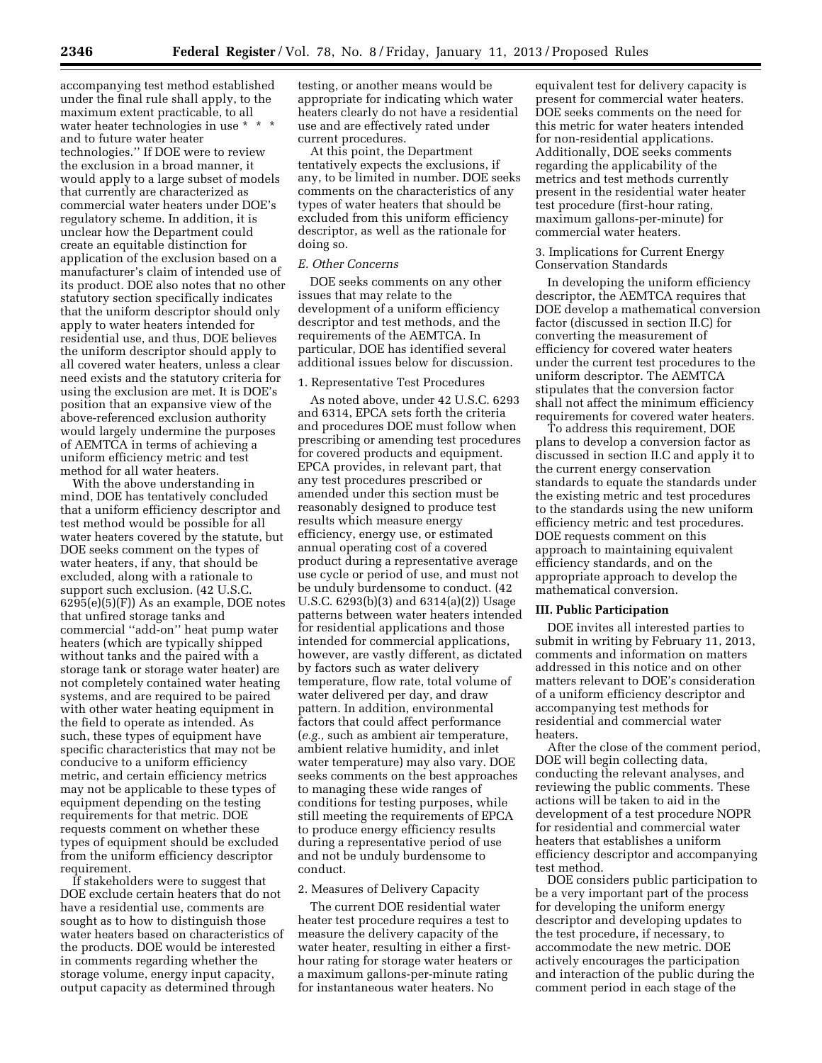accompanying test method established under the final rule shall apply, to the maximum extent practicable, to all water heater technologies in use \* \* \* and to future water heater technologies.'' If DOE were to review the exclusion in a broad manner, it would apply to a large subset of models that currently are characterized as commercial water heaters under DOE's regulatory scheme. In addition, it is unclear how the Department could create an equitable distinction for application of the exclusion based on a manufacturer's claim of intended use of its product. DOE also notes that no other statutory section specifically indicates that the uniform descriptor should only apply to water heaters intended for residential use, and thus, DOE believes the uniform descriptor should apply to all covered water heaters, unless a clear need exists and the statutory criteria for using the exclusion are met. It is DOE's position that an expansive view of the above-referenced exclusion authority would largely undermine the purposes of AEMTCA in terms of achieving a uniform efficiency metric and test method for all water heaters.

With the above understanding in mind, DOE has tentatively concluded that a uniform efficiency descriptor and test method would be possible for all water heaters covered by the statute, but DOE seeks comment on the types of water heaters, if any, that should be excluded, along with a rationale to support such exclusion. (42 U.S.C. 6295(e)(5)(F)) As an example, DOE notes that unfired storage tanks and commercial ''add-on'' heat pump water heaters (which are typically shipped without tanks and the paired with a storage tank or storage water heater) are not completely contained water heating systems, and are required to be paired with other water heating equipment in the field to operate as intended. As such, these types of equipment have specific characteristics that may not be conducive to a uniform efficiency metric, and certain efficiency metrics may not be applicable to these types of equipment depending on the testing requirements for that metric. DOE requests comment on whether these types of equipment should be excluded from the uniform efficiency descriptor requirement.

If stakeholders were to suggest that DOE exclude certain heaters that do not have a residential use, comments are sought as to how to distinguish those water heaters based on characteristics of the products. DOE would be interested in comments regarding whether the storage volume, energy input capacity, output capacity as determined through

testing, or another means would be appropriate for indicating which water heaters clearly do not have a residential use and are effectively rated under current procedures.

At this point, the Department tentatively expects the exclusions, if any, to be limited in number. DOE seeks comments on the characteristics of any types of water heaters that should be excluded from this uniform efficiency descriptor, as well as the rationale for doing so.

#### *E. Other Concerns*

DOE seeks comments on any other issues that may relate to the development of a uniform efficiency descriptor and test methods, and the requirements of the AEMTCA. In particular, DOE has identified several additional issues below for discussion.

#### 1. Representative Test Procedures

As noted above, under 42 U.S.C. 6293 and 6314, EPCA sets forth the criteria and procedures DOE must follow when prescribing or amending test procedures for covered products and equipment. EPCA provides, in relevant part, that any test procedures prescribed or amended under this section must be reasonably designed to produce test results which measure energy efficiency, energy use, or estimated annual operating cost of a covered product during a representative average use cycle or period of use, and must not be unduly burdensome to conduct. (42 U.S.C. 6293(b)(3) and 6314(a)(2)) Usage patterns between water heaters intended for residential applications and those intended for commercial applications, however, are vastly different, as dictated by factors such as water delivery temperature, flow rate, total volume of water delivered per day, and draw pattern. In addition, environmental factors that could affect performance (*e.g.,* such as ambient air temperature, ambient relative humidity, and inlet water temperature) may also vary. DOE seeks comments on the best approaches to managing these wide ranges of conditions for testing purposes, while still meeting the requirements of EPCA to produce energy efficiency results during a representative period of use and not be unduly burdensome to conduct.

#### 2. Measures of Delivery Capacity

The current DOE residential water heater test procedure requires a test to measure the delivery capacity of the water heater, resulting in either a firsthour rating for storage water heaters or a maximum gallons-per-minute rating for instantaneous water heaters. No

equivalent test for delivery capacity is present for commercial water heaters. DOE seeks comments on the need for this metric for water heaters intended for non-residential applications. Additionally, DOE seeks comments regarding the applicability of the metrics and test methods currently present in the residential water heater test procedure (first-hour rating, maximum gallons-per-minute) for commercial water heaters.

#### 3. Implications for Current Energy Conservation Standards

In developing the uniform efficiency descriptor, the AEMTCA requires that DOE develop a mathematical conversion factor (discussed in section II.C) for converting the measurement of efficiency for covered water heaters under the current test procedures to the uniform descriptor. The AEMTCA stipulates that the conversion factor shall not affect the minimum efficiency requirements for covered water heaters.

To address this requirement, DOE plans to develop a conversion factor as discussed in section II.C and apply it to the current energy conservation standards to equate the standards under the existing metric and test procedures to the standards using the new uniform efficiency metric and test procedures. DOE requests comment on this approach to maintaining equivalent efficiency standards, and on the appropriate approach to develop the mathematical conversion.

#### **III. Public Participation**

DOE invites all interested parties to submit in writing by February 11, 2013, comments and information on matters addressed in this notice and on other matters relevant to DOE's consideration of a uniform efficiency descriptor and accompanying test methods for residential and commercial water heaters.

After the close of the comment period, DOE will begin collecting data, conducting the relevant analyses, and reviewing the public comments. These actions will be taken to aid in the development of a test procedure NOPR for residential and commercial water heaters that establishes a uniform efficiency descriptor and accompanying test method.

DOE considers public participation to be a very important part of the process for developing the uniform energy descriptor and developing updates to the test procedure, if necessary, to accommodate the new metric. DOE actively encourages the participation and interaction of the public during the comment period in each stage of the